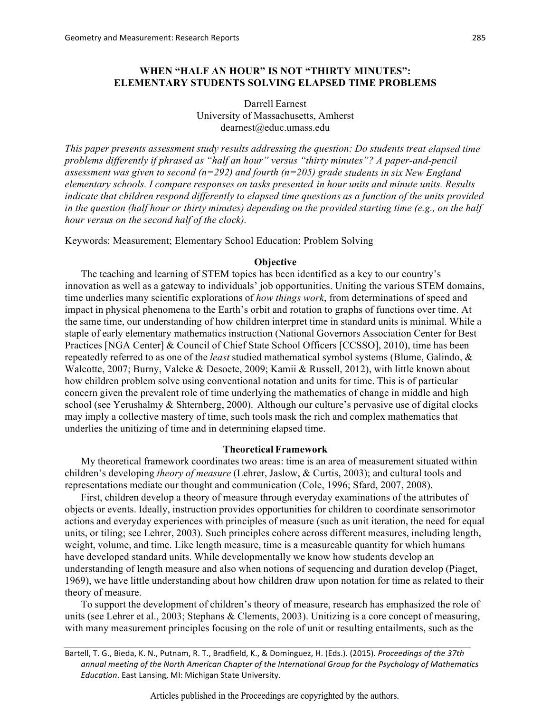Darrell Earnest University of Massachusetts, Amherst dearnest@educ.umass.edu

*This paper presents assessment study results addressing the question: Do students treat elapsed time problems differently if phrased as "half an hour" versus "thirty minutes"? A paper-and-pencil assessment was given to second (n=292) and fourth (n=205) grade students in six New England elementary schools. I compare responses on tasks presented in hour units and minute units. Results indicate that children respond differently to elapsed time questions as a function of the units provided in the question (half hour or thirty minutes) depending on the provided starting time (e.g., on the half hour versus on the second half of the clock).*

Keywords: Measurement; Elementary School Education; Problem Solving

#### **Objective**

The teaching and learning of STEM topics has been identified as a key to our country's innovation as well as a gateway to individuals' job opportunities. Uniting the various STEM domains, time underlies many scientific explorations of *how things work*, from determinations of speed and impact in physical phenomena to the Earth's orbit and rotation to graphs of functions over time. At the same time, our understanding of how children interpret time in standard units is minimal. While a staple of early elementary mathematics instruction (National Governors Association Center for Best Practices [NGA Center] & Council of Chief State School Officers [CCSSO], 2010), time has been repeatedly referred to as one of the *least* studied mathematical symbol systems (Blume, Galindo, & Walcotte, 2007; Burny, Valcke & Desoete, 2009; Kamii & Russell, 2012), with little known about how children problem solve using conventional notation and units for time. This is of particular concern given the prevalent role of time underlying the mathematics of change in middle and high school (see Yerushalmy & Shternberg, 2000). Although our culture's pervasive use of digital clocks may imply a collective mastery of time, such tools mask the rich and complex mathematics that underlies the unitizing of time and in determining elapsed time.

#### **Theoretical Framework**

My theoretical framework coordinates two areas: time is an area of measurement situated within children's developing *theory of measure* (Lehrer, Jaslow, & Curtis, 2003); and cultural tools and representations mediate our thought and communication (Cole, 1996; Sfard, 2007, 2008).

First, children develop a theory of measure through everyday examinations of the attributes of objects or events. Ideally, instruction provides opportunities for children to coordinate sensorimotor actions and everyday experiences with principles of measure (such as unit iteration, the need for equal units, or tiling; see Lehrer, 2003). Such principles cohere across different measures, including length, weight, volume, and time. Like length measure, time is a measureable quantity for which humans have developed standard units. While developmentally we know how students develop an understanding of length measure and also when notions of sequencing and duration develop (Piaget, 1969), we have little understanding about how children draw upon notation for time as related to their theory of measure.

To support the development of children's theory of measure, research has emphasized the role of units (see Lehrer et al., 2003; Stephans & Clements, 2003). Unitizing is a core concept of measuring, with many measurement principles focusing on the role of unit or resulting entailments, such as the

Bartell, T. G., Bieda, K. N., Putnam, R. T., Bradfield, K., & Dominguez, H. (Eds.). (2015). Proceedings of the 37th annual meeting of the North American Chapter of the International Group for the Psychology of Mathematics *Education*. East Lansing, MI: Michigan State University.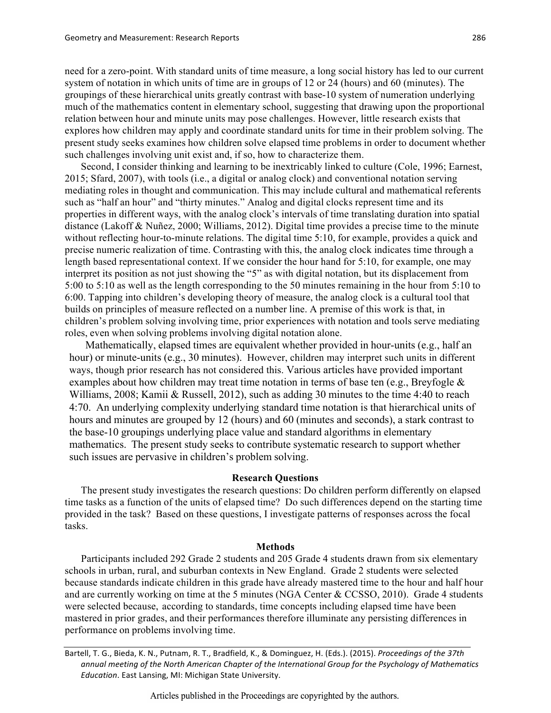need for a zero-point. With standard units of time measure, a long social history has led to our current system of notation in which units of time are in groups of 12 or 24 (hours) and 60 (minutes). The groupings of these hierarchical units greatly contrast with base-10 system of numeration underlying much of the mathematics content in elementary school, suggesting that drawing upon the proportional relation between hour and minute units may pose challenges. However, little research exists that explores how children may apply and coordinate standard units for time in their problem solving. The present study seeks examines how children solve elapsed time problems in order to document whether such challenges involving unit exist and, if so, how to characterize them.

Second, I consider thinking and learning to be inextricably linked to culture (Cole, 1996; Earnest, 2015; Sfard, 2007), with tools (i.e., a digital or analog clock) and conventional notation serving mediating roles in thought and communication. This may include cultural and mathematical referents such as "half an hour" and "thirty minutes." Analog and digital clocks represent time and its properties in different ways, with the analog clock's intervals of time translating duration into spatial distance (Lakoff & Nuñez, 2000; Williams, 2012). Digital time provides a precise time to the minute without reflecting hour-to-minute relations. The digital time 5:10, for example, provides a quick and precise numeric realization of time. Contrasting with this, the analog clock indicates time through a length based representational context. If we consider the hour hand for 5:10, for example, one may interpret its position as not just showing the "5" as with digital notation, but its displacement from 5:00 to 5:10 as well as the length corresponding to the 50 minutes remaining in the hour from 5:10 to 6:00. Tapping into children's developing theory of measure, the analog clock is a cultural tool that builds on principles of measure reflected on a number line. A premise of this work is that, in children's problem solving involving time, prior experiences with notation and tools serve mediating roles, even when solving problems involving digital notation alone.

Mathematically, elapsed times are equivalent whether provided in hour-units (e.g., half an hour) or minute-units (e.g., 30 minutes). However, children may interpret such units in different ways, though prior research has not considered this. Various articles have provided important examples about how children may treat time notation in terms of base ten (e.g., Breyfogle & Williams, 2008; Kamii & Russell, 2012), such as adding 30 minutes to the time 4:40 to reach 4:70. An underlying complexity underlying standard time notation is that hierarchical units of hours and minutes are grouped by 12 (hours) and 60 (minutes and seconds), a stark contrast to the base-10 groupings underlying place value and standard algorithms in elementary mathematics. The present study seeks to contribute systematic research to support whether such issues are pervasive in children's problem solving.

#### **Research Questions**

The present study investigates the research questions: Do children perform differently on elapsed time tasks as a function of the units of elapsed time? Do such differences depend on the starting time provided in the task? Based on these questions, I investigate patterns of responses across the focal tasks.

### **Methods**

Participants included 292 Grade 2 students and 205 Grade 4 students drawn from six elementary schools in urban, rural, and suburban contexts in New England. Grade 2 students were selected because standards indicate children in this grade have already mastered time to the hour and half hour and are currently working on time at the 5 minutes (NGA Center & CCSSO, 2010). Grade 4 students were selected because, according to standards, time concepts including elapsed time have been mastered in prior grades, and their performances therefore illuminate any persisting differences in performance on problems involving time.

Bartell, T. G., Bieda, K. N., Putnam, R. T., Bradfield, K., & Dominguez, H. (Eds.). (2015). *Proceedings of the 37th* annual meeting of the North American Chapter of the International Group for the Psychology of Mathematics *Education*. East Lansing, MI: Michigan State University.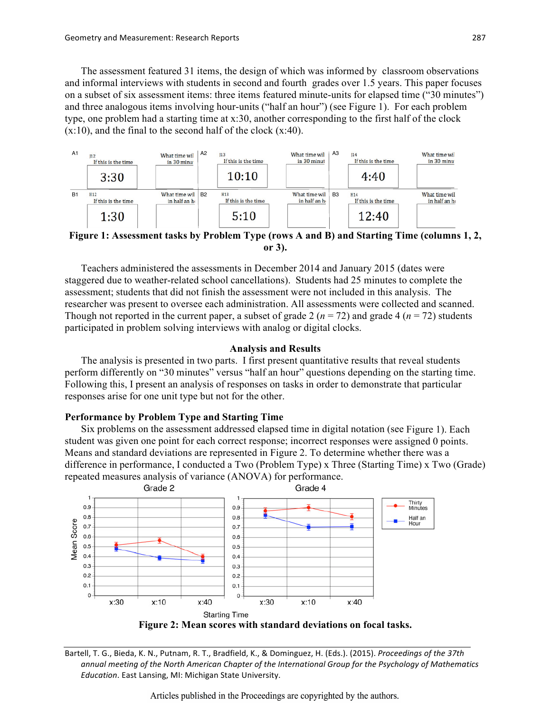The assessment featured 31 items, the design of which was informed by classroom observations and informal interviews with students in second and fourth grades over 1.5 years. This paper focuses on a subset of six assessment items: three items featured minute-units for elapsed time ("30 minutes") and three analogous items involving hour-units ("half an hour") (see Figure 1). For each problem type, one problem had a starting time at x:30, another corresponding to the first half of the clock  $(x:10)$ , and the final to the second half of the clock  $(x:40)$ .



**Figure 1: Assessment tasks by Problem Type (rows A and B) and Starting Time (columns 1, 2, or 3).**

Teachers administered the assessments in December 2014 and January 2015 (dates were staggered due to weather-related school cancellations). Students had 25 minutes to complete the assessment; students that did not finish the assessment were not included in this analysis. The researcher was present to oversee each administration. All assessments were collected and scanned. Though not reported in the current paper, a subset of grade 2 ( $n = 72$ ) and grade 4 ( $n = 72$ ) students participated in problem solving interviews with analog or digital clocks.

#### **Analysis and Results**

The analysis is presented in two parts. I first present quantitative results that reveal students perform differently on "30 minutes" versus "half an hour" questions depending on the starting time. Following this, I present an analysis of responses on tasks in order to demonstrate that particular responses arise for one unit type but not for the other.

## **Performance by Problem Type and Starting Time**

Six problems on the assessment addressed elapsed time in digital notation (see Figure 1). Each student was given one point for each correct response; incorrect responses were assigned 0 points. Means and standard deviations are represented in Figure 2. To determine whether there was a difference in performance, I conducted a Two (Problem Type) x Three (Starting Time) x Two (Grade) repeated measures analysis of variance (ANOVA) for performance.



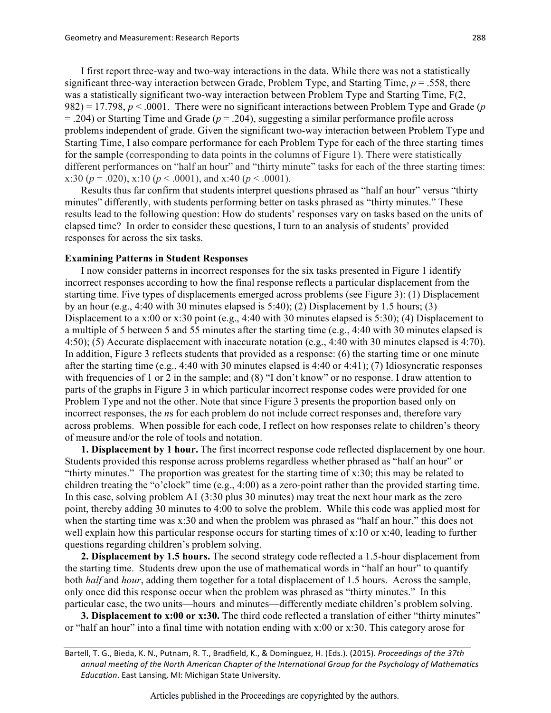I first report three-way and two-way interactions in the data. While there was not a statistically significant three-way interaction between Grade, Problem Type, and Starting Time, *p* = .558, there was a statistically significant two-way interaction between Problem Type and Starting Time, F(2, 982) = 17.798, *p* < .0001. There were no significant interactions between Problem Type and Grade (*p*  $=$  .204) or Starting Time and Grade ( $p = 0.204$ ), suggesting a similar performance profile across problems independent of grade. Given the significant two-way interaction between Problem Type and Starting Time, I also compare performance for each Problem Type for each of the three starting times for the sample (corresponding to data points in the columns of Figure 1). There were statistically different performances on "half an hour" and "thirty minute" tasks for each of the three starting times: x:30 ( $p = .020$ ), x:10 ( $p < .0001$ ), and x:40 ( $p < .0001$ ).

Results thus far confirm that students interpret questions phrased as "half an hour" versus "thirty minutes" differently, with students performing better on tasks phrased as "thirty minutes." These results lead to the following question: How do students' responses vary on tasks based on the units of elapsed time? In order to consider these questions, I turn to an analysis of students' provided responses for across the six tasks.

### **Examining Patterns in Student Responses**

I now consider patterns in incorrect responses for the six tasks presented in Figure 1 identify incorrect responses according to how the final response reflects a particular displacement from the starting time. Five types of displacements emerged across problems (see Figure 3): (1) Displacement by an hour (e.g., 4:40 with 30 minutes elapsed is  $5:40$ ); (2) Displacement by 1.5 hours; (3) Displacement to a x:00 or x:30 point (e.g., 4:40 with 30 minutes elapsed is 5:30); (4) Displacement to a multiple of 5 between 5 and 55 minutes after the starting time (e.g., 4:40 with 30 minutes elapsed is 4:50); (5) Accurate displacement with inaccurate notation (e.g., 4:40 with 30 minutes elapsed is 4:70). In addition, Figure 3 reflects students that provided as a response: (6) the starting time or one minute after the starting time (e.g., 4:40 with 30 minutes elapsed is 4:40 or 4:41); (7) Idiosyncratic responses with frequencies of 1 or 2 in the sample; and (8) "I don't know" or no response. I draw attention to parts of the graphs in Figure 3 in which particular incorrect response codes were provided for one Problem Type and not the other. Note that since Figure 3 presents the proportion based only on incorrect responses, the *n*s for each problem do not include correct responses and, therefore vary across problems. When possible for each code, I reflect on how responses relate to children's theory of measure and/or the role of tools and notation.

**1. Displacement by 1 hour.** The first incorrect response code reflected displacement by one hour. Students provided this response across problems regardless whether phrased as "half an hour" or "thirty minutes." The proportion was greatest for the starting time of x:30; this may be related to children treating the "o'clock" time (e.g., 4:00) as a zero-point rather than the provided starting time. In this case, solving problem A1 (3:30 plus 30 minutes) may treat the next hour mark as the zero point, thereby adding 30 minutes to 4:00 to solve the problem. While this code was applied most for when the starting time was x:30 and when the problem was phrased as "half an hour," this does not well explain how this particular response occurs for starting times of x:10 or x:40, leading to further questions regarding children's problem solving.

**2. Displacement by 1.5 hours.** The second strategy code reflected a 1.5-hour displacement from the starting time. Students drew upon the use of mathematical words in "half an hour" to quantify both *half* and *hour*, adding them together for a total displacement of 1.5 hours. Across the sample, only once did this response occur when the problem was phrased as "thirty minutes." In this particular case, the two units—hours and minutes—differently mediate children's problem solving.

**3. Displacement to x:00 or x:30.** The third code reflected a translation of either "thirty minutes" or "half an hour" into a final time with notation ending with x:00 or x:30. This category arose for

Bartell, T. G., Bieda, K. N., Putnam, R. T., Bradfield, K., & Dominguez, H. (Eds.). (2015). *Proceedings of the 37th* annual meeting of the North American Chapter of the International Group for the Psychology of Mathematics *Education*. East Lansing, MI: Michigan State University.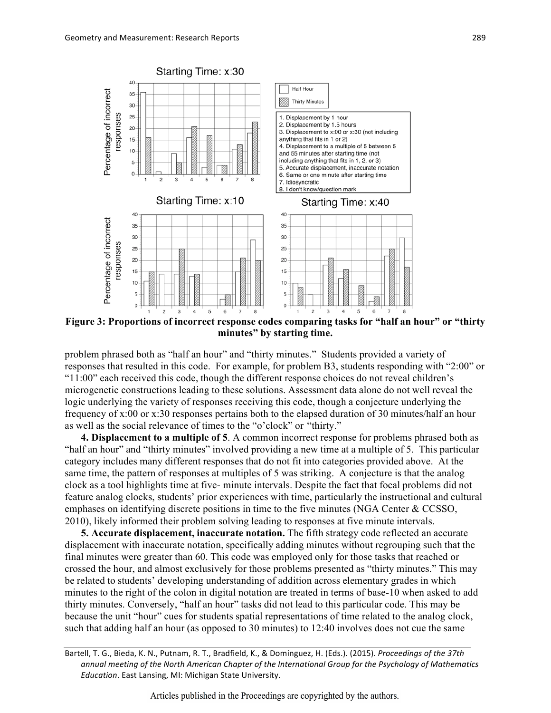

**Figure 3: Proportions of incorrect response codes comparing tasks for "half an hour" or "thirty minutes" by starting time.**

problem phrased both as "half an hour" and "thirty minutes." Students provided a variety of responses that resulted in this code. For example, for problem B3, students responding with "2:00" or "11:00" each received this code, though the different response choices do not reveal children's microgenetic constructions leading to these solutions. Assessment data alone do not well reveal the logic underlying the variety of responses receiving this code, though a conjecture underlying the frequency of x:00 or x:30 responses pertains both to the elapsed duration of 30 minutes/half an hour as well as the social relevance of times to the "o'clock" or "thirty."

**4. Displacement to a multiple of 5**. A common incorrect response for problems phrased both as "half an hour" and "thirty minutes" involved providing a new time at a multiple of 5. This particular category includes many different responses that do not fit into categories provided above. At the same time, the pattern of responses at multiples of 5 was striking. A conjecture is that the analog clock as a tool highlights time at five- minute intervals. Despite the fact that focal problems did not feature analog clocks, students' prior experiences with time, particularly the instructional and cultural emphases on identifying discrete positions in time to the five minutes (NGA Center & CCSSO, 2010), likely informed their problem solving leading to responses at five minute intervals.

**5. Accurate displacement, inaccurate notation.** The fifth strategy code reflected an accurate displacement with inaccurate notation, specifically adding minutes without regrouping such that the final minutes were greater than 60. This code was employed only for those tasks that reached or crossed the hour, and almost exclusively for those problems presented as "thirty minutes." This may be related to students' developing understanding of addition across elementary grades in which minutes to the right of the colon in digital notation are treated in terms of base-10 when asked to add thirty minutes. Conversely, "half an hour" tasks did not lead to this particular code. This may be because the unit "hour" cues for students spatial representations of time related to the analog clock, such that adding half an hour (as opposed to 30 minutes) to 12:40 involves does not cue the same

Bartell, T. G., Bieda, K. N., Putnam, R. T., Bradfield, K., & Dominguez, H. (Eds.). (2015). *Proceedings of the 37th* annual meeting of the North American Chapter of the International Group for the Psychology of Mathematics *Education*. East Lansing, MI: Michigan State University.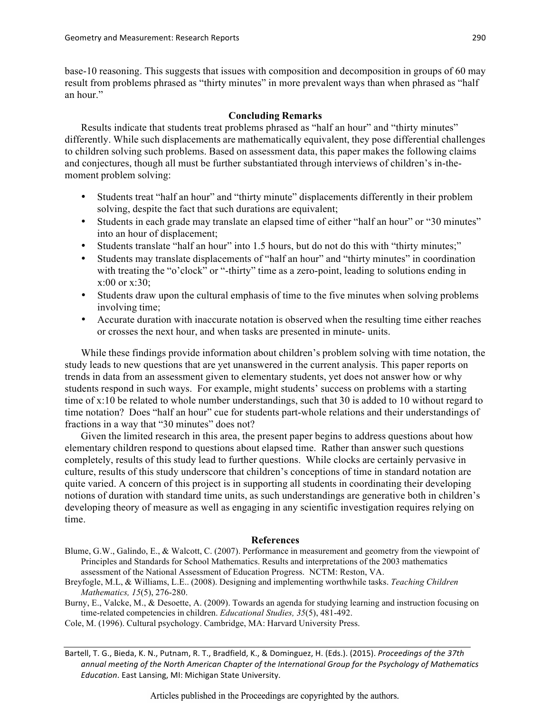base-10 reasoning. This suggests that issues with composition and decomposition in groups of 60 may result from problems phrased as "thirty minutes" in more prevalent ways than when phrased as "half an hour."

## **Concluding Remarks**

Results indicate that students treat problems phrased as "half an hour" and "thirty minutes" differently. While such displacements are mathematically equivalent, they pose differential challenges to children solving such problems. Based on assessment data, this paper makes the following claims and conjectures, though all must be further substantiated through interviews of children's in-themoment problem solving:

- Students treat "half an hour" and "thirty minute" displacements differently in their problem solving, despite the fact that such durations are equivalent;
- Students in each grade may translate an elapsed time of either "half an hour" or "30 minutes" into an hour of displacement;
- Students translate "half an hour" into 1.5 hours, but do not do this with "thirty minutes;"
- Students may translate displacements of "half an hour" and "thirty minutes" in coordination with treating the "o'clock" or "-thirty" time as a zero-point, leading to solutions ending in x:00 or x:30;
- Students draw upon the cultural emphasis of time to the five minutes when solving problems involving time;
- Accurate duration with inaccurate notation is observed when the resulting time either reaches or crosses the next hour, and when tasks are presented in minute- units.

While these findings provide information about children's problem solving with time notation, the study leads to new questions that are yet unanswered in the current analysis. This paper reports on trends in data from an assessment given to elementary students, yet does not answer how or why students respond in such ways. For example, might students' success on problems with a starting time of x:10 be related to whole number understandings, such that 30 is added to 10 without regard to time notation? Does "half an hour" cue for students part-whole relations and their understandings of fractions in a way that "30 minutes" does not?

Given the limited research in this area, the present paper begins to address questions about how elementary children respond to questions about elapsed time. Rather than answer such questions completely, results of this study lead to further questions. While clocks are certainly pervasive in culture, results of this study underscore that children's conceptions of time in standard notation are quite varied. A concern of this project is in supporting all students in coordinating their developing notions of duration with standard time units, as such understandings are generative both in children's developing theory of measure as well as engaging in any scientific investigation requires relying on time.

# **References**

Blume, G.W., Galindo, E., & Walcott, C. (2007). Performance in measurement and geometry from the viewpoint of Principles and Standards for School Mathematics. Results and interpretations of the 2003 mathematics assessment of the National Assessment of Education Progress. NCTM: Reston, VA.

Breyfogle, M.L, & Williams, L.E.. (2008). Designing and implementing worthwhile tasks. *Teaching Children Mathematics, 15*(5), 276-280.

- Burny, E., Valcke, M., & Desoette, A. (2009). Towards an agenda for studying learning and instruction focusing on time-related competencies in children. *Educational Studies, 35*(5), 481-492.
- Cole, M. (1996). Cultural psychology. Cambridge, MA: Harvard University Press.

Bartell, T. G., Bieda, K. N., Putnam, R. T., Bradfield, K., & Dominguez, H. (Eds.). (2015). *Proceedings of the 37th* annual meeting of the North American Chapter of the International Group for the Psychology of Mathematics *Education*. East Lansing, MI: Michigan State University.